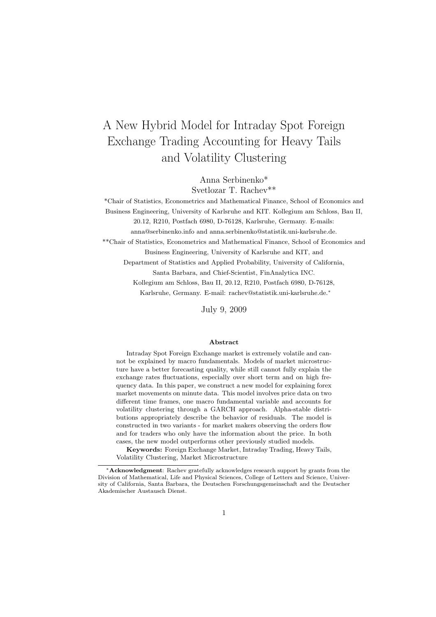# A New Hybrid Model for Intraday Spot Foreign Exchange Trading Accounting for Heavy Tails and Volatility Clustering

Anna Serbinenko\* Svetlozar T. Rachev\*\*

\*Chair of Statistics, Econometrics and Mathematical Finance, School of Economics and Business Engineering, University of Karlsruhe and KIT. Kollegium am Schloss, Bau II,

20.12, R210, Postfach 6980, D-76128, Karlsruhe, Germany. E-mails:

anna@serbinenko.info and anna.serbinenko@statistik.uni-karlsruhe.de.

\*\*Chair of Statistics, Econometrics and Mathematical Finance, School of Economics and

Business Engineering, University of Karlsruhe and KIT, and

Department of Statistics and Applied Probability, University of California, Santa Barbara, and Chief-Scientist, FinAnalytica INC.

Kollegium am Schloss, Bau II, 20.12, R210, Postfach 6980, D-76128,

Karlsruhe, Germany. E-mail: rachev@statistik.uni-karlsruhe.de.<sup>∗</sup>

July 9, 2009

#### Abstract

Intraday Spot Foreign Exchange market is extremely volatile and cannot be explained by macro fundamentals. Models of market microstructure have a better forecasting quality, while still cannot fully explain the exchange rates fluctuations, especially over short term and on high frequency data. In this paper, we construct a new model for explaining forex market movements on minute data. This model involves price data on two different time frames, one macro fundamental variable and accounts for volatility clustering through a GARCH approach. Alpha-stable distributions appropriately describe the behavior of residuals. The model is constructed in two variants - for market makers observing the orders flow and for traders who only have the information about the price. In both cases, the new model outperforms other previously studied models.

Keywords: Foreign Exchange Market, Intraday Trading, Heavy Tails, Volatility Clustering, Market Microstructure

<sup>∗</sup>Acknowledgment: Rachev gratefully acknowledges research support by grants from the Division of Mathematical, Life and Physical Sciences, College of Letters and Science, University of California, Santa Barbara, the Deutschen Forschungsgemeinschaft and the Deutscher Akademischer Austausch Dienst.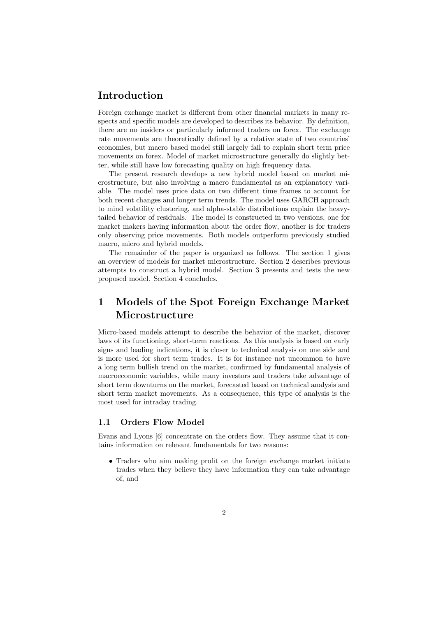# Introduction

Foreign exchange market is different from other financial markets in many respects and specific models are developed to describes its behavior. By definition, there are no insiders or particularly informed traders on forex. The exchange rate movements are theoretically defined by a relative state of two countries' economies, but macro based model still largely fail to explain short term price movements on forex. Model of market microstructure generally do slightly better, while still have low forecasting quality on high frequency data.

The present research develops a new hybrid model based on market microstructure, but also involving a macro fundamental as an explanatory variable. The model uses price data on two different time frames to account for both recent changes and longer term trends. The model uses GARCH approach to mind volatility clustering, and alpha-stable distributions explain the heavytailed behavior of residuals. The model is constructed in two versions, one for market makers having information about the order flow, another is for traders only observing price movements. Both models outperform previously studied macro, micro and hybrid models.

The remainder of the paper is organized as follows. The section 1 gives an overview of models for market microstructure. Section 2 describes previous attempts to construct a hybrid model. Section 3 presents and tests the new proposed model. Section 4 concludes.

# 1 Models of the Spot Foreign Exchange Market Microstructure

Micro-based models attempt to describe the behavior of the market, discover laws of its functioning, short-term reactions. As this analysis is based on early signs and leading indications, it is closer to technical analysis on one side and is more used for short term trades. It is for instance not uncommon to have a long term bullish trend on the market, confirmed by fundamental analysis of macroeconomic variables, while many investors and traders take advantage of short term downturns on the market, forecasted based on technical analysis and short term market movements. As a consequence, this type of analysis is the most used for intraday trading.

#### 1.1 Orders Flow Model

Evans and Lyons [6] concentrate on the orders flow. They assume that it contains information on relevant fundamentals for two reasons:

• Traders who aim making profit on the foreign exchange market initiate trades when they believe they have information they can take advantage of, and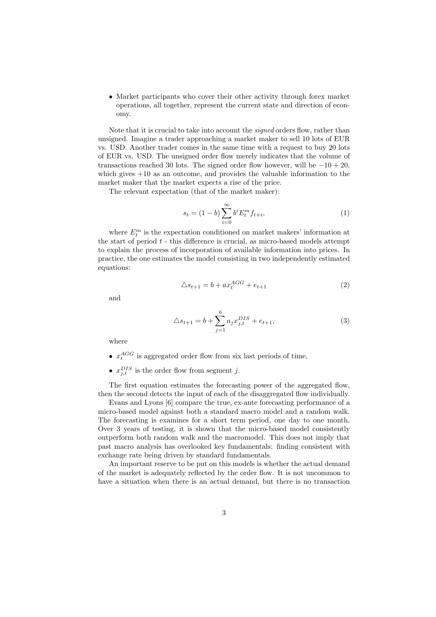• Market participants who cover their other activity through forex market operations, all together, represent the current state and direction of economy.

Note that it is crucial to take into account the *signed* orders flow, rather than unsigned. Imagine a trader approaching a market maker to sell 10 lots of EUR vs. USD. Another trader comes in the same time with a request to buy 20 lots of EUR vs. USD. The unsigned order flow merely indicates that the volume of transactions reached 30 lots. The signed order flow however, will be  $-10 + 20$ , which gives +10 as an outcome, and provides the valuable information to the market maker that the market expects a rise of the price.

The relevant expectation (that of the market maker):

$$
s_t = (1 - b) \sum_{i=0}^{\infty} b^i E_t^m f_{t+i},
$$
\n(1)

where  $E_t^m$  is the expectation conditioned on market makers' information at the start of period  $t$  - this difference is crucial, as micro-based models attempt to explain the process of incorporation of available information into prices. In practice, the one estimates the model consisting in two independently estimated equations:

$$
\Delta s_{t+1} = b + ax_t^{AGG} + e_{t+1} \tag{2}
$$

and

$$
\triangle s_{t+1} = b + \sum_{j=1}^{6} a_j x_{j,t}^{DIS} + e_{t+1}, \tag{3}
$$

where

- $x_t^{AGG}$  is aggregated order flow from six last periods of time,
- $x_{j,t}^{DIS}$  is the order flow from segment j.

The first equation estimates the forecasting power of the aggregated flow, then the second detects the input of each of the disaggregated flow individually.

Evans and Lyons [6] compare the true, ex-ante forecasting performance of a micro-based model against both a standard macro model and a random walk. The forecasting is examines for a short term period, one day to one month. Over 3 years of testing, it is shown that the micro-based model consistently outperform both random walk and the macromodel. This does not imply that past macro analysis has overlooked key fundamentals: finding consistent with exchange rate being driven by standard fundamentals.

An important reserve to be put on this models is whether the actual demand of the market is adequately reflected by the order flow. It is not uncommon to have a situation when there is an actual demand, but there is no transaction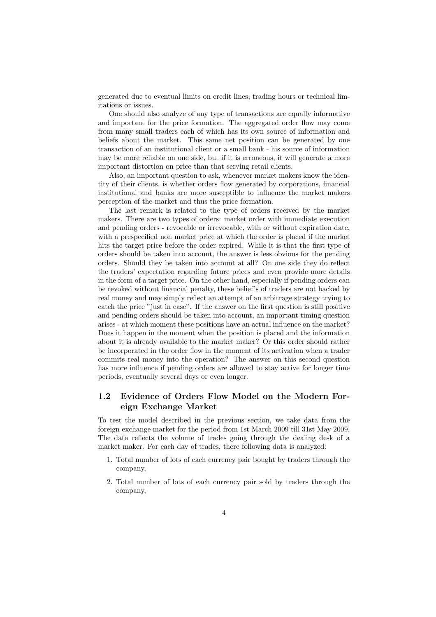generated due to eventual limits on credit lines, trading hours or technical limitations or issues.

One should also analyze of any type of transactions are equally informative and important for the price formation. The aggregated order flow may come from many small traders each of which has its own source of information and beliefs about the market. This same net position can be generated by one transaction of an institutional client or a small bank - his source of information may be more reliable on one side, but if it is erroneous, it will generate a more important distortion on price than that serving retail clients.

Also, an important question to ask, whenever market makers know the identity of their clients, is whether orders flow generated by corporations, financial institutional and banks are more susceptible to influence the market makers perception of the market and thus the price formation.

The last remark is related to the type of orders received by the market makers. There are two types of orders: market order with immediate execution and pending orders - revocable or irrevocable, with or without expiration date, with a prespecified non market price at which the order is placed if the market hits the target price before the order expired. While it is that the first type of orders should be taken into account, the answer is less obvious for the pending orders. Should they be taken into account at all? On one side they do reflect the traders' expectation regarding future prices and even provide more details in the form of a target price. On the other hand, especially if pending orders can be revoked without financial penalty, these belief's of traders are not backed by real money and may simply reflect an attempt of an arbitrage strategy trying to catch the price "just in case". If the answer on the first question is still positive and pending orders should be taken into account, an important timing question arises - at which moment these positions have an actual influence on the market? Does it happen in the moment when the position is placed and the information about it is already available to the market maker? Or this order should rather be incorporated in the order flow in the moment of its activation when a trader commits real money into the operation? The answer on this second question has more influence if pending orders are allowed to stay active for longer time periods, eventually several days or even longer.

## 1.2 Evidence of Orders Flow Model on the Modern Foreign Exchange Market

To test the model described in the previous section, we take data from the foreign exchange market for the period from 1st March 2009 till 31st May 2009. The data reflects the volume of trades going through the dealing desk of a market maker. For each day of trades, there following data is analyzed:

- 1. Total number of lots of each currency pair bought by traders through the company,
- 2. Total number of lots of each currency pair sold by traders through the company,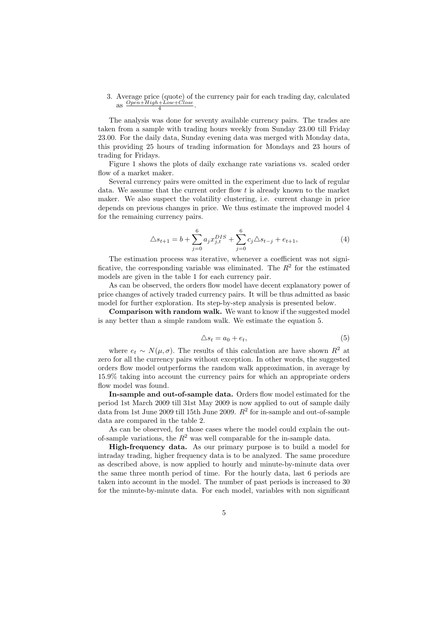3. Average price (quote) of the currency pair for each trading day, calculated as  $\frac{Open+High+Low+Close}{4}$ .

The analysis was done for seventy available currency pairs. The trades are taken from a sample with trading hours weekly from Sunday 23.00 till Friday 23.00. For the daily data, Sunday evening data was merged with Monday data, this providing 25 hours of trading information for Mondays and 23 hours of trading for Fridays.

Figure 1 shows the plots of daily exchange rate variations vs. scaled order flow of a market maker.

Several currency pairs were omitted in the experiment due to lack of regular data. We assume that the current order flow t is already known to the market maker. We also suspect the volatility clustering, i.e. current change in price depends on previous changes in price. We thus estimate the improved model 4 for the remaining currency pairs.

$$
\triangle s_{t+1} = b + \sum_{j=0}^{6} a_j x_{j,t}^{DIS} + \sum_{j=0}^{6} c_j \triangle s_{t-j} + e_{t+1},
$$
\n(4)

The estimation process was iterative, whenever a coefficient was not significative, the corresponding variable was eliminated. The  $R^2$  for the estimated models are given in the table 1 for each currency pair.

As can be observed, the orders flow model have decent explanatory power of price changes of actively traded currency pairs. It will be thus admitted as basic model for further exploration. Its step-by-step analysis is presented below.

Comparison with random walk. We want to know if the suggested model is any better than a simple random walk. We estimate the equation 5.

$$
\Delta s_t = a_0 + e_t,\tag{5}
$$

where  $e_t \sim N(\mu, \sigma)$ . The results of this calculation are have shown  $R^2$  at zero for all the currency pairs without exception. In other words, the suggested orders flow model outperforms the random walk approximation, in average by 15.9% taking into account the currency pairs for which an appropriate orders flow model was found.

In-sample and out-of-sample data. Orders flow model estimated for the period 1st March 2009 till 31st May 2009 is now applied to out of sample daily data from 1st June 2009 till 15th June 2009.  $R^2$  for in-sample and out-of-sample data are compared in the table 2.

As can be observed, for those cases where the model could explain the outof-sample variations, the  $R^2$  was well comparable for the in-sample data.

High-frequency data. As our primary purpose is to build a model for intraday trading, higher frequency data is to be analyzed. The same procedure as described above, is now applied to hourly and minute-by-minute data over the same three month period of time. For the hourly data, last 6 periods are taken into account in the model. The number of past periods is increased to 30 for the minute-by-minute data. For each model, variables with non significant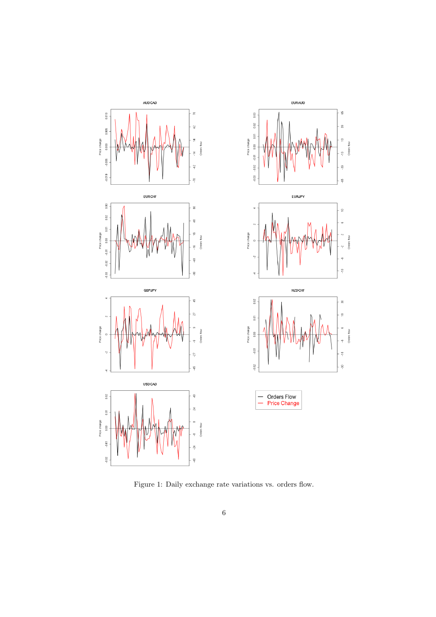

Figure 1: Daily exchange rate variations vs. orders flow.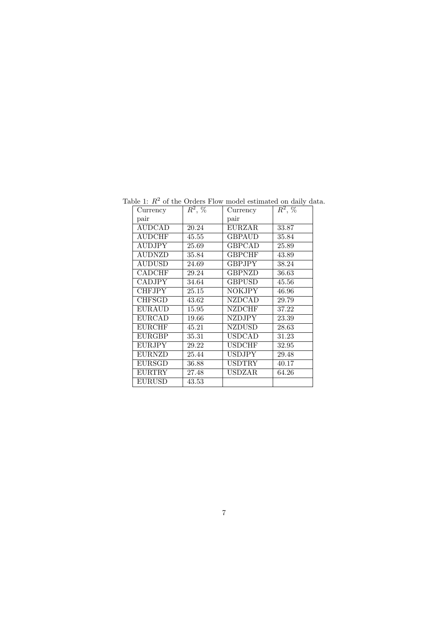| Currency      | $R^2, \, \%$ | Currency      | $\overline{R^2, \, \%}$ |
|---------------|--------------|---------------|-------------------------|
| pair          |              | pair          |                         |
| <b>AUDCAD</b> | 20.24        | <b>EURZAR</b> | 33.87                   |
| AUDCHF        | 45.55        | <b>GBPAUD</b> | 35.84                   |
| <b>AUDJPY</b> | 25.69        | <b>GBPCAD</b> | 25.89                   |
| AUDNZD        | 35.84        | <b>GBPCHF</b> | 43.89                   |
| <b>AUDUSD</b> | 24.69        | <b>GBPJPY</b> | 38.24                   |
| <b>CADCHF</b> | 29.24        | <b>GBPNZD</b> | 36.63                   |
| CADJPY        | 34.64        | <b>GBPUSD</b> | 45.56                   |
| <b>CHFJPY</b> | 25.15        | NOKJPY        | 46.96                   |
| <b>CHFSGD</b> | 43.62        | NZDCAD        | 29.79                   |
| EURAUD        | 15.95        | <b>NZDCHF</b> | 37.22                   |
| EURCAD        | 19.66        | NZDJPY        | 23.39                   |
| <b>EURCHF</b> | 45.21        | NZDUSD        | 28.63                   |
| <b>EURGBP</b> | 35.31        | USDCAD        | 31.23                   |
| <b>EURJPY</b> | 29.22        | <b>USDCHF</b> | 32.95                   |
| <b>EURNZD</b> | 25.44        | <b>USDJPY</b> | 29.48                   |
| <b>EURSGD</b> | 36.88        | <b>USDTRY</b> | 40.17                   |
| <b>EURTRY</b> | 27.48        | USDZAR        | 64.26                   |
| <b>EURUSD</b> | 43.53        |               |                         |

Table 1:  $R^2$  of the Orders Flow model estimated on daily data.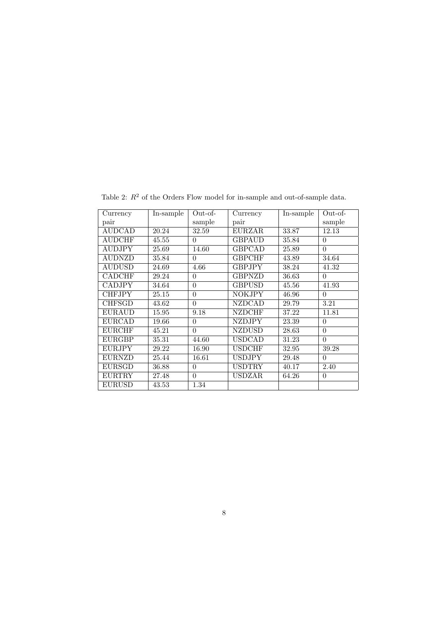| Currency      | In-sample | $Out-of-$ | Currency      | In-sample | Out-of-  |
|---------------|-----------|-----------|---------------|-----------|----------|
| pair          |           | sample    | pair          |           | sample   |
| <b>AUDCAD</b> | 20.24     | 32.59     | <b>EURZAR</b> | 33.87     | 12.13    |
| <b>AUDCHF</b> | 45.55     | $\Omega$  | <b>GBPAUD</b> | 35.84     | $\theta$ |
| AUDJPY        | 25.69     | 14.60     | <b>GBPCAD</b> | 25.89     | $\theta$ |
| <b>AUDNZD</b> | 35.84     | $\theta$  | <b>GBPCHF</b> | 43.89     | 34.64    |
| AUDUSD        | 24.69     | 4.66      | <b>GBPJPY</b> | 38.24     | 41.32    |
| CADCHF        | 29.24     | $\theta$  | <b>GBPNZD</b> | 36.63     | $\theta$ |
| CADJPY        | 34.64     | $\theta$  | <b>GBPUSD</b> | 45.56     | 41.93    |
| <b>CHFJPY</b> | 25.15     | $\theta$  | <b>NOKJPY</b> | 46.96     | $\Omega$ |
| <b>CHFSGD</b> | 43.62     | $\theta$  | <b>NZDCAD</b> | 29.79     | 3.21     |
| <b>EURAUD</b> | 15.95     | 9.18      | <b>NZDCHF</b> | 37.22     | 11.81    |
| <b>EURCAD</b> | 19.66     | $\theta$  | <b>NZDJPY</b> | 23.39     | $\theta$ |
| <b>EURCHF</b> | 45.21     | $\theta$  | <b>NZDUSD</b> | 28.63     | $\theta$ |
| <b>EURGBP</b> | 35.31     | 44.60     | <b>USDCAD</b> | 31.23     | $\theta$ |
| <b>EURJPY</b> | 29.22     | 16.90     | <b>USDCHF</b> | 32.95     | 39.28    |
| <b>EURNZD</b> | 25.44     | 16.61     | <b>USDJPY</b> | 29.48     | $\Omega$ |
| <b>EURSGD</b> | 36.88     | $\Omega$  | USDTRY        | 40.17     | 2.40     |
| <b>EURTRY</b> | 27.48     | $\theta$  | USDZAR        | 64.26     | $\theta$ |
| <b>EURUSD</b> | 43.53     | 1.34      |               |           |          |

Table 2:  $R^2$  of the Orders Flow model for in-sample and out-of-sample data.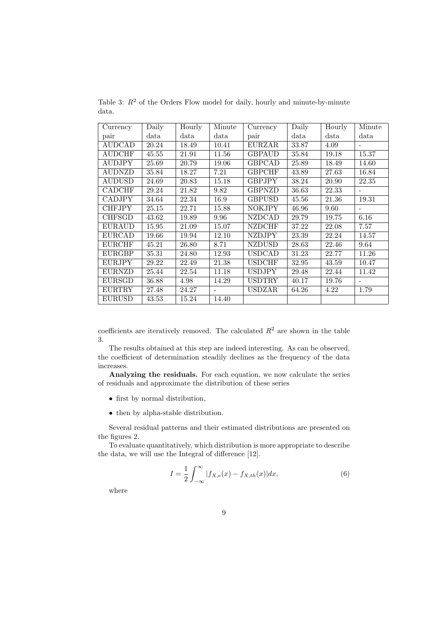| Currency      | Daily         | Hourly | Minute | Currency      | Daily | Hourly | Minute         |
|---------------|---------------|--------|--------|---------------|-------|--------|----------------|
| pair          | $_{\rm data}$ | data   | data   | pair          | data  | data   | data           |
| <b>AUDCAD</b> | 20.24         | 18.49  | 10.41  | EURZAR        | 33.87 | 4.09   |                |
| <b>AUDCHF</b> | 45.55         | 21.91  | 11.56  | <b>GBPAUD</b> | 35.84 | 19.18  | 15.37          |
| <b>AUDJPY</b> | 25.69         | 20.79  | 19.06  | <b>GBPCAD</b> | 25.89 | 18.49  | 14.60          |
| AUDNZD        | 35.84         | 18.27  | 7.21   | <b>GBPCHF</b> | 43.89 | 27.63  | 16.84          |
| AUDUSD        | 24.69         | 20.83  | 15.18  | GBPJPY        | 38.24 | 20.90  | 22.35          |
| <b>CADCHF</b> | 29.24         | 21.82  | 9.82   | <b>GBPNZD</b> | 36.63 | 22.33  |                |
| CADJPY        | 34.64         | 22.34  | 16.9   | <b>GBPUSD</b> | 45.56 | 21.36  | 19.31          |
| <b>CHFJPY</b> | 25.15         | 22.71  | 15.88  | <b>NOKJPY</b> | 46.96 | 9.60   | $\blacksquare$ |
| <b>CHFSGD</b> | 43.62         | 19.89  | 9.96   | <b>NZDCAD</b> | 29.79 | 19.75  | 6.16           |
| <b>EURAUD</b> | 15.95         | 21.09  | 15.07  | <b>NZDCHF</b> | 37.22 | 22.08  | 7.57           |
| <b>EURCAD</b> | 19.66         | 19.94  | 12.10  | NZDJPY        | 23.39 | 22.24  | 14.57          |
| <b>EURCHF</b> | 45.21         | 26.80  | 8.71   | NZDUSD        | 28.63 | 22.46  | 9.64           |
| <b>EURGBP</b> | 35.31         | 24.80  | 12.93  | <b>USDCAD</b> | 31.23 | 22.77  | 11.26          |
| <b>EURJPY</b> | 29.22         | 22.49  | 21.38  | <b>USDCHF</b> | 32.95 | 43.59  | 10.47          |
| <b>EURNZD</b> | 25.44         | 22.54  | 11.18  | USDJPY        | 29.48 | 22.44  | 11.42          |
| <b>EURSGD</b> | 36.88         | 4.98   | 14.29  | USDTRY        | 40.17 | 19.76  |                |
| <b>EURTRY</b> | 27.48         | 24.27  |        | USDZAR        | 64.26 | 4.22   | 1.79           |
| <b>EURUSD</b> | 43.53         | 15.24  | 14.40  |               |       |        |                |

Table 3:  $R^2$  of the Orders Flow model for daily, hourly and minute-by-minute data.

coefficients are iteratively removed. The calculated  $R^2$  are shown in the table 3.

The results obtained at this step are indeed interesting. As can be observed, the coefficient of determination steadily declines as the frequency of the data increases.

Analyzing the residuals. For each equation, we now calculate the series of residuals and approximate the distribution of these series

- first by normal distribution,
- then by alpha-stable distribution.

Several residual patterns and their estimated distributions are presented on the figures 2.

To evaluate quantitatively, which distribution is more appropriate to describe the data, we will use the Integral of difference [12].

$$
I = \frac{1}{2} \int_{-\infty}^{\infty} |f_{X,e}(x) - f_{X,th}(x)| dx,
$$
\n(6)

where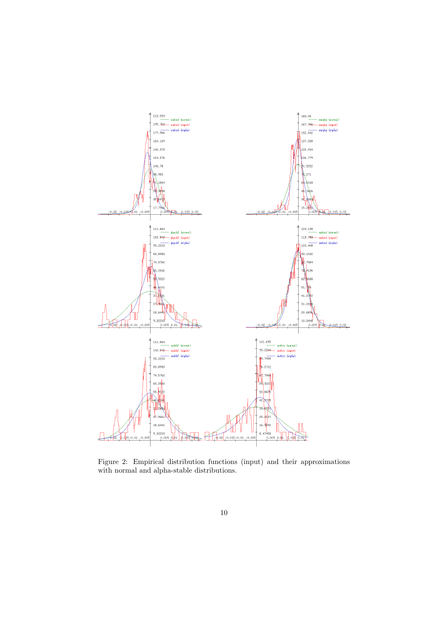

Figure 2: Empirical distribution functions (input) and their approximations with normal and alpha-stable distributions.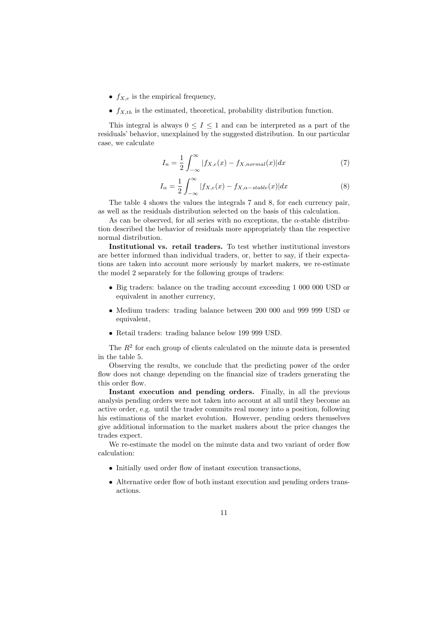- $f_{X,e}$  is the empirical frequency,
- $f_{X,th}$  is the estimated, theoretical, probability distribution function.

This integral is always  $0 \leq I \leq 1$  and can be interpreted as a part of the residuals' behavior, unexplained by the suggested distribution. In our particular case, we calculate

$$
I_n = \frac{1}{2} \int_{-\infty}^{\infty} |f_{X,e}(x) - f_{X,normal}(x)| dx \tag{7}
$$

$$
I_{\alpha} = \frac{1}{2} \int_{-\infty}^{\infty} |f_{X,e}(x) - f_{X,\alpha-stable}(x)| dx
$$
\n(8)

The table 4 shows the values the integrals 7 and 8, for each currency pair, as well as the residuals distribution selected on the basis of this calculation.

As can be observed, for all series with no exceptions, the  $\alpha$ -stable distribution described the behavior of residuals more appropriately than the respective normal distribution.

Institutional vs. retail traders. To test whether institutional investors are better informed than individual traders, or, better to say, if their expectations are taken into account more seriously by market makers, we re-estimate the model 2 separately for the following groups of traders:

- Big traders: balance on the trading account exceeding 1 000 000 USD or equivalent in another currency,
- Medium traders: trading balance between 200 000 and 999 999 USD or equivalent,
- Retail traders: trading balance below 199 999 USD.

The  $R<sup>2</sup>$  for each group of clients calculated on the minute data is presented in the table 5.

Observing the results, we conclude that the predicting power of the order flow does not change depending on the financial size of traders generating the this order flow.

Instant execution and pending orders. Finally, in all the previous analysis pending orders were not taken into account at all until they become an active order, e.g. until the trader commits real money into a position, following his estimations of the market evolution. However, pending orders themselves give additional information to the market makers about the price changes the trades expect.

We re-estimate the model on the minute data and two variant of order flow calculation:

- Initially used order flow of instant execution transactions,
- Alternative order flow of both instant execution and pending orders transactions.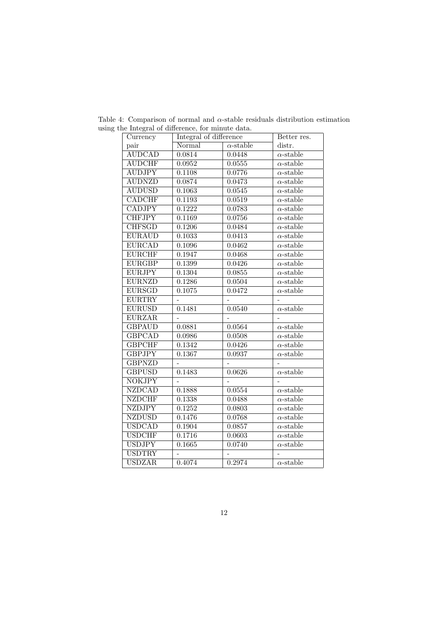| Currency      | Integral of difference |                  | Better res.                       |  |
|---------------|------------------------|------------------|-----------------------------------|--|
| pair          | Normal                 | $\alpha$ -stable | distr.                            |  |
| <b>AUDCAD</b> | 0.0814                 | 0.0448           | $\alpha$ -stable                  |  |
| <b>AUDCHF</b> | 0.0952                 | 0.0555           | $\alpha$ -stable                  |  |
| <b>AUDJPY</b> | 0.1108                 | 0.0776           | $\alpha$ -stable                  |  |
| <b>AUDNZD</b> | 0.0874                 | 0.0473           | $\alpha$ -stable                  |  |
| <b>AUDUSD</b> | 0.1063                 | 0.0545           | $\alpha$ -stable                  |  |
| <b>CADCHF</b> | 0.1193                 | 0.0519           | $\alpha$ -stable                  |  |
| <b>CADJPY</b> | 0.1222                 | 0.0783           | $\alpha$ -stable                  |  |
| <b>CHFJPY</b> | 0.1169                 | 0.0756           | $\alpha$ -stable                  |  |
| <b>CHFSGD</b> | 0.1206                 | 0.0484           | $\alpha$ -stable                  |  |
| <b>EURAUD</b> | 0.1033                 | 0.0413           | $\alpha$ -stable                  |  |
| <b>EURCAD</b> | 0.1096                 | 0.0462           | $\alpha$ -stable                  |  |
| <b>EURCHF</b> | 0.1947                 | 0.0468           | $\alpha$ -stable                  |  |
| <b>EURGBP</b> | 0.1399                 | 0.0426           | $\alpha$ -stable                  |  |
| <b>EURJPY</b> | 0.1304                 | 0.0855           | $\alpha$ -stable                  |  |
| <b>EURNZD</b> | 0.1286                 | 0.0504           | $\alpha$ -stable                  |  |
| <b>EURSGD</b> | 0.1075                 | 0.0472           | $\alpha$ -stable                  |  |
| <b>EURTRY</b> |                        |                  |                                   |  |
| <b>EURUSD</b> | 0.1481                 | 0.0540           | $\alpha$ -stable                  |  |
| <b>EURZAR</b> |                        |                  |                                   |  |
| <b>GBPAUD</b> | 0.0881                 | 0.0564           | $\alpha$ -stable                  |  |
| <b>GBPCAD</b> | 0.0986                 | 0.0508           | $\overline{\alpha\text{-stable}}$ |  |
| <b>GBPCHF</b> | 0.1342                 | 0.0426           | $\alpha$ -stable                  |  |
| <b>GBPJPY</b> | 0.1367                 | 0.0937           | $\alpha$ -stable                  |  |
| <b>GBPNZD</b> |                        |                  |                                   |  |
| <b>GBPUSD</b> | 0.1483                 | 0.0626           | $\alpha$ -stable                  |  |
| <b>NOKJPY</b> |                        | $\overline{a}$   |                                   |  |
| <b>NZDCAD</b> | 0.1888                 | 0.0554           | $\alpha$ -stable                  |  |
| <b>NZDCHF</b> | 0.1338                 | 0.0488           | $\alpha$ -stable                  |  |
| <b>NZDJPY</b> | 0.1252                 | 0.0803           | $\alpha$ -stable                  |  |
| <b>NZDUSD</b> | 0.1476                 | 0.0768           | $\alpha$ -stable                  |  |
| <b>USDCAD</b> | 0.1904                 | 0.0857           | $\alpha$ -stable                  |  |
| <b>USDCHF</b> | 0.1716                 | 0.0603           | $\alpha$ -stable                  |  |
| <b>USDJPY</b> | 0.1665                 | 0.0740           | $\alpha$ -stable                  |  |
| <b>USDTRY</b> |                        |                  |                                   |  |
| <b>USDZAR</b> | 0.4074                 | 0.2974           | $\alpha$ -stable                  |  |

Table 4: Comparison of normal and  $\alpha$ -stable residuals distribution estimation using the Integral of difference, for minute data.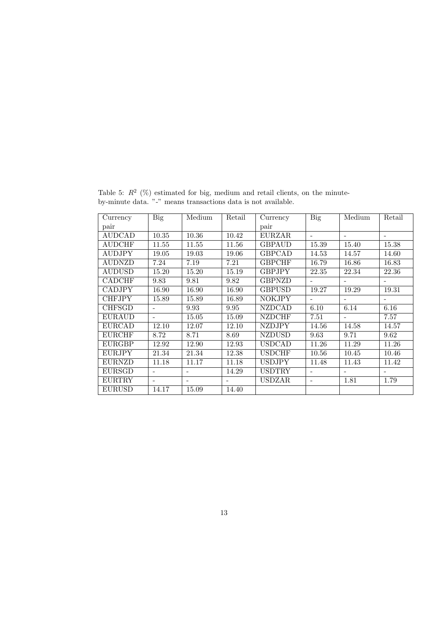Table 5:  $R^2$  (%) estimated for big, medium and retail clients, on the minuteby-minute data. "-" means transactions data is not available.

| Currency      | Big                      | Medium                   | Retail | Currency      | Big                      | Medium                   | Retail                   |
|---------------|--------------------------|--------------------------|--------|---------------|--------------------------|--------------------------|--------------------------|
| pair          |                          |                          |        | pair          |                          |                          |                          |
| <b>AUDCAD</b> | 10.35                    | 10.36                    | 10.42  | <b>EURZAR</b> | $\overline{\phantom{a}}$ | $\overline{\phantom{a}}$ | $\overline{\phantom{a}}$ |
| <b>AUDCHF</b> | 11.55                    | 11.55                    | 11.56  | GBPAUD        | 15.39                    | 15.40                    | 15.38                    |
| AUDJPY        | 19.05                    | 19.03                    | 19.06  | GBPCAD        | 14.53                    | 14.57                    | 14.60                    |
| AUDNZD        | 7.24                     | 7.19                     | 7.21   | <b>GBPCHF</b> | 16.79                    | 16.86                    | 16.83                    |
| AUDUSD        | 15.20                    | 15.20                    | 15.19  | <b>GBPJPY</b> | 22.35                    | 22.34                    | 22.36                    |
| <b>CADCHF</b> | 9.83                     | 9.81                     | 9.82   | <b>GBPNZD</b> |                          | $\overline{a}$           |                          |
| CADJPY        | 16.90                    | 16.90                    | 16.90  | <b>GBPUSD</b> | 19.27                    | 19.29                    | 19.31                    |
| <b>CHFJPY</b> | 15.89                    | 15.89                    | 16.89  | <b>NOKJPY</b> | $\overline{a}$           | $\overline{a}$           | $\overline{a}$           |
| <b>CHFSGD</b> | $\blacksquare$           | 9.93                     | 9.95   | <b>NZDCAD</b> | 6.10                     | 6.14                     | 6.16                     |
| EURAUD        | $\overline{\phantom{a}}$ | 15.05                    | 15.09  | <b>NZDCHF</b> | 7.51                     | $\overline{\phantom{a}}$ | 7.57                     |
| EURCAD        | 12.10                    | 12.07                    | 12.10  | <b>NZDJPY</b> | 14.56                    | 14.58                    | 14.57                    |
| <b>EURCHF</b> | 8.72                     | 8.71                     | 8.69   | <b>NZDUSD</b> | 9.63                     | 9.71                     | 9.62                     |
| EURGBP        | 12.92                    | 12.90                    | 12.93  | USDCAD        | 11.26                    | 11.29                    | 11.26                    |
| EURJPY        | 21.34                    | 21.34                    | 12.38  | <b>USDCHF</b> | 10.56                    | 10.45                    | 10.46                    |
| EURNZD        | 11.18                    | 11.17                    | 11.18  | USDJPY        | 11.48                    | 11.43                    | 11.42                    |
| <b>EURSGD</b> | ÷.                       | $\overline{\phantom{a}}$ | 14.29  | USDTRY        |                          | $\overline{a}$           | $\blacksquare$           |
| <b>EURTRY</b> | $\sim$                   | $\overline{\phantom{0}}$ |        | USDZAR        | $\overline{\phantom{a}}$ | 1.81                     | 1.79                     |
| <b>EURUSD</b> | 14.17                    | 15.09                    | 14.40  |               |                          |                          |                          |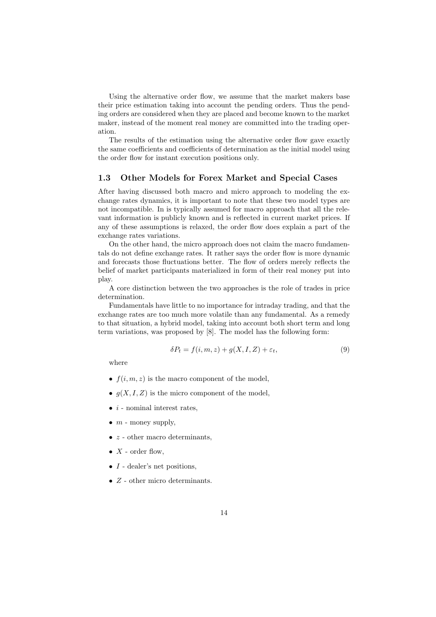Using the alternative order flow, we assume that the market makers base their price estimation taking into account the pending orders. Thus the pending orders are considered when they are placed and become known to the market maker, instead of the moment real money are committed into the trading operation.

The results of the estimation using the alternative order flow gave exactly the same coefficients and coefficients of determination as the initial model using the order flow for instant execution positions only.

#### 1.3 Other Models for Forex Market and Special Cases

After having discussed both macro and micro approach to modeling the exchange rates dynamics, it is important to note that these two model types are not incompatible. In is typically assumed for macro approach that all the relevant information is publicly known and is reflected in current market prices. If any of these assumptions is relaxed, the order flow does explain a part of the exchange rates variations.

On the other hand, the micro approach does not claim the macro fundamentals do not define exchange rates. It rather says the order flow is more dynamic and forecasts those fluctuations better. The flow of orders merely reflects the belief of market participants materialized in form of their real money put into play.

A core distinction between the two approaches is the role of trades in price determination.

Fundamentals have little to no importance for intraday trading, and that the exchange rates are too much more volatile than any fundamental. As a remedy to that situation, a hybrid model, taking into account both short term and long term variations, was proposed by [8]. The model has the following form:

$$
\delta P_t = f(i, m, z) + g(X, I, Z) + \varepsilon_t,\tag{9}
$$

where

- $f(i, m, z)$  is the macro component of the model,
- $g(X, I, Z)$  is the micro component of the model,
- $\bullet$  *i* nominal interest rates,
- $m$  money supply,
- $\bullet$  *z* other macro determinants,
- $X$  order flow.
- $\bullet$  *I* dealer's net positions,
- $\bullet$   $Z$  other micro determinants.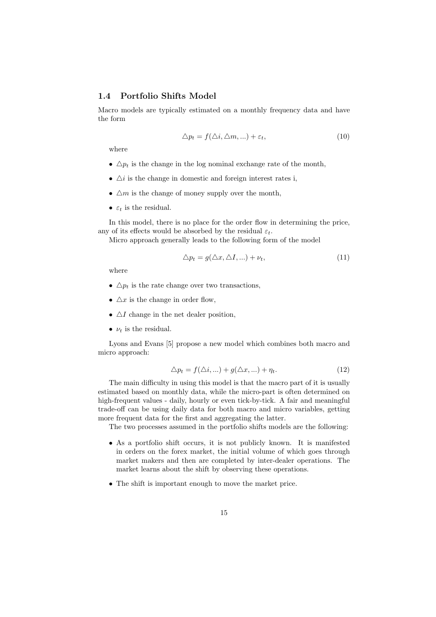#### 1.4 Portfolio Shifts Model

Macro models are typically estimated on a monthly frequency data and have the form

$$
\Delta p_t = f(\Delta i, \Delta m, \ldots) + \varepsilon_t,\tag{10}
$$

where

- $\Delta p_t$  is the change in the log nominal exchange rate of the month,
- $\Delta i$  is the change in domestic and foreign interest rates i,
- $\Delta m$  is the change of money supply over the month,
- $\varepsilon_t$  is the residual.

In this model, there is no place for the order flow in determining the price, any of its effects would be absorbed by the residual  $\varepsilon_t$ .

Micro approach generally leads to the following form of the model

$$
\Delta p_t = g(\Delta x, \Delta I, \ldots) + \nu_t,\tag{11}
$$

where

- $\Delta p_t$  is the rate change over two transactions,
- $\Delta x$  is the change in order flow,
- $\Delta I$  change in the net dealer position,
- $\nu_t$  is the residual.

Lyons and Evans [5] propose a new model which combines both macro and micro approach:

$$
\Delta p_t = f(\Delta i, \ldots) + g(\Delta x, \ldots) + \eta_t. \tag{12}
$$

The main difficulty in using this model is that the macro part of it is usually estimated based on monthly data, while the micro-part is often determined on high-frequent values - daily, hourly or even tick-by-tick. A fair and meaningful trade-off can be using daily data for both macro and micro variables, getting more frequent data for the first and aggregating the latter.

The two processes assumed in the portfolio shifts models are the following:

- As a portfolio shift occurs, it is not publicly known. It is manifested in orders on the forex market, the initial volume of which goes through market makers and then are completed by inter-dealer operations. The market learns about the shift by observing these operations.
- The shift is important enough to move the market price.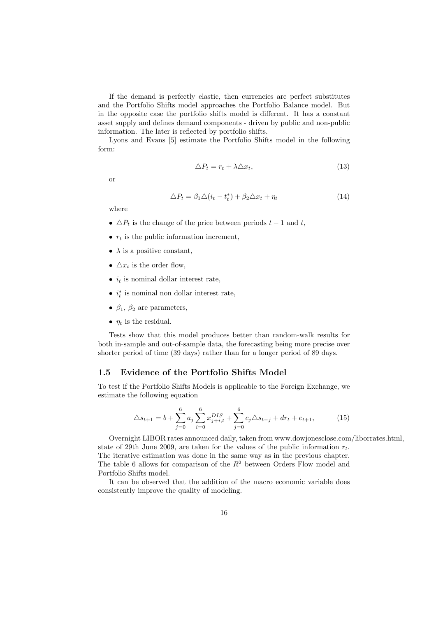If the demand is perfectly elastic, then currencies are perfect substitutes and the Portfolio Shifts model approaches the Portfolio Balance model. But in the opposite case the portfolio shifts model is different. It has a constant asset supply and defines demand components - driven by public and non-public information. The later is reflected by portfolio shifts.

Lyons and Evans [5] estimate the Portfolio Shifts model in the following form:

$$
\Delta P_t = r_t + \lambda \Delta x_t,\tag{13}
$$

or

$$
\Delta P_t = \beta_1 \Delta (i_t - t_t^*) + \beta_2 \Delta x_t + \eta_t \tag{14}
$$

where

- $\Delta P_t$  is the change of the price between periods  $t 1$  and t,
- $r_t$  is the public information increment,
- $\lambda$  is a positive constant,
- $\Delta x_t$  is the order flow,
- $i_t$  is nominal dollar interest rate,
- $i_t^*$  is nominal non dollar interest rate,
- $\beta_1$ ,  $\beta_2$  are parameters,
- $\eta_t$  is the residual.

Tests show that this model produces better than random-walk results for both in-sample and out-of-sample data, the forecasting being more precise over shorter period of time (39 days) rather than for a longer period of 89 days.

#### 1.5 Evidence of the Portfolio Shifts Model

To test if the Portfolio Shifts Models is applicable to the Foreign Exchange, we estimate the following equation

$$
\triangle s_{t+1} = b + \sum_{j=0}^{6} a_j \sum_{i=0}^{6} x_{j+i,t}^{DIS} + \sum_{j=0}^{6} c_j \triangle s_{t-j} + dr_t + e_{t+1},
$$
 (15)

Overnight LIBOR rates announced daily, taken from www.dowjonesclose.com/liborrates.html, state of 29th June 2009, are taken for the values of the public information  $r_t$ . The iterative estimation was done in the same way as in the previous chapter. The table 6 allows for comparison of the  $R^2$  between Orders Flow model and Portfolio Shifts model.

It can be observed that the addition of the macro economic variable does consistently improve the quality of modeling.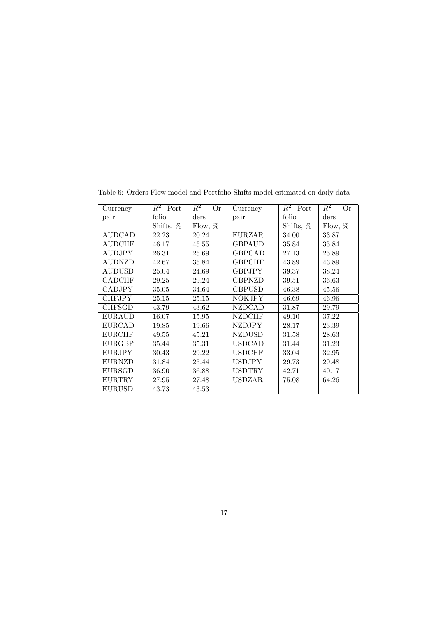| Currency      | $\overline{R^2}$ Port- | $\,R^2$<br>$Or-$ | Currency      | $R^2$ Port- | $\overline{R^2}$<br>Or- |
|---------------|------------------------|------------------|---------------|-------------|-------------------------|
| pair          | folio                  | ders             | pair          | folio       | ders                    |
|               | Shifts, %              | Flow, $%$        |               | Shifts, %   | Flow, $%$               |
| <b>AUDCAD</b> | 22.23                  | 20.24            | EURZAR        | 34.00       | 33.87                   |
| <b>AUDCHF</b> | 46.17                  | 45.55            | <b>GBPAUD</b> | 35.84       | 35.84                   |
| AUDJPY        | 26.31                  | 25.69            | <b>GBPCAD</b> | 27.13       | 25.89                   |
| <b>AUDNZD</b> | 42.67                  | 35.84            | <b>GBPCHF</b> | 43.89       | 43.89                   |
| AUDUSD        | 25.04                  | 24.69            | <b>GBPJPY</b> | 39.37       | 38.24                   |
| CADCHF        | 29.25                  | 29.24            | <b>GBPNZD</b> | 39.51       | 36.63                   |
| CADJPY        | 35.05                  | 34.64            | <b>GBPUSD</b> | 46.38       | 45.56                   |
| <b>CHFJPY</b> | 25.15                  | 25.15            | <b>NOKJPY</b> | 46.69       | 46.96                   |
| <b>CHFSGD</b> | 43.79                  | 43.62            | NZDCAD        | 31.87       | 29.79                   |
| EURAUD        | 16.07                  | 15.95            | <b>NZDCHF</b> | 49.10       | 37.22                   |
| <b>EURCAD</b> | 19.85                  | 19.66            | <b>NZDJPY</b> | 28.17       | 23.39                   |
| <b>EURCHF</b> | 49.55                  | 45.21            | <b>NZDUSD</b> | 31.58       | 28.63                   |
| <b>EURGBP</b> | 35.44                  | 35.31            | <b>USDCAD</b> | 31.44       | 31.23                   |
| EURJPY        | 30.43                  | 29.22            | <b>USDCHF</b> | 33.04       | 32.95                   |
| EURNZD        | 31.84                  | 25.44            | <b>USDJPY</b> | 29.73       | 29.48                   |
| <b>EURSGD</b> | 36.90                  | 36.88            | USDTRY        | 42.71       | 40.17                   |
| <b>EURTRY</b> | 27.95                  | 27.48            | USDZAR.       | 75.08       | 64.26                   |
| <b>EURUSD</b> | 43.73                  | 43.53            |               |             |                         |

Table 6: Orders Flow model and Portfolio Shifts model estimated on daily data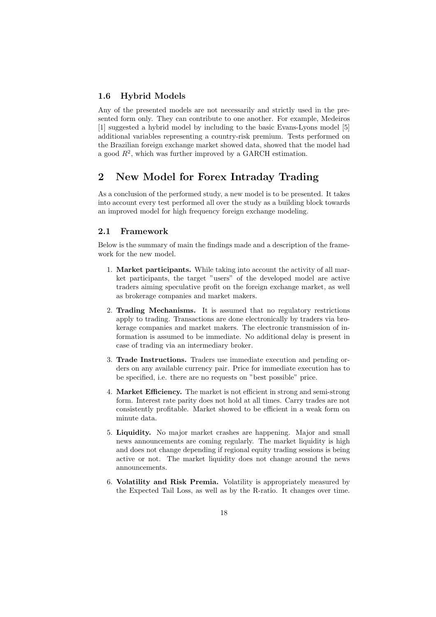#### 1.6 Hybrid Models

Any of the presented models are not necessarily and strictly used in the presented form only. They can contribute to one another. For example, Medeiros [1] suggested a hybrid model by including to the basic Evans-Lyons model [5] additional variables representing a country-risk premium. Tests performed on the Brazilian foreign exchange market showed data, showed that the model had a good  $R^2$ , which was further improved by a GARCH estimation.

# 2 New Model for Forex Intraday Trading

As a conclusion of the performed study, a new model is to be presented. It takes into account every test performed all over the study as a building block towards an improved model for high frequency foreign exchange modeling.

#### 2.1 Framework

Below is the summary of main the findings made and a description of the framework for the new model.

- 1. Market participants. While taking into account the activity of all market participants, the target "users" of the developed model are active traders aiming speculative profit on the foreign exchange market, as well as brokerage companies and market makers.
- 2. Trading Mechanisms. It is assumed that no regulatory restrictions apply to trading. Transactions are done electronically by traders via brokerage companies and market makers. The electronic transmission of information is assumed to be immediate. No additional delay is present in case of trading via an intermediary broker.
- 3. Trade Instructions. Traders use immediate execution and pending orders on any available currency pair. Price for immediate execution has to be specified, i.e. there are no requests on "best possible" price.
- 4. Market Efficiency. The market is not efficient in strong and semi-strong form. Interest rate parity does not hold at all times. Carry trades are not consistently profitable. Market showed to be efficient in a weak form on minute data.
- 5. Liquidity. No major market crashes are happening. Major and small news announcements are coming regularly. The market liquidity is high and does not change depending if regional equity trading sessions is being active or not. The market liquidity does not change around the news announcements.
- 6. Volatility and Risk Premia. Volatility is appropriately measured by the Expected Tail Loss, as well as by the R-ratio. It changes over time.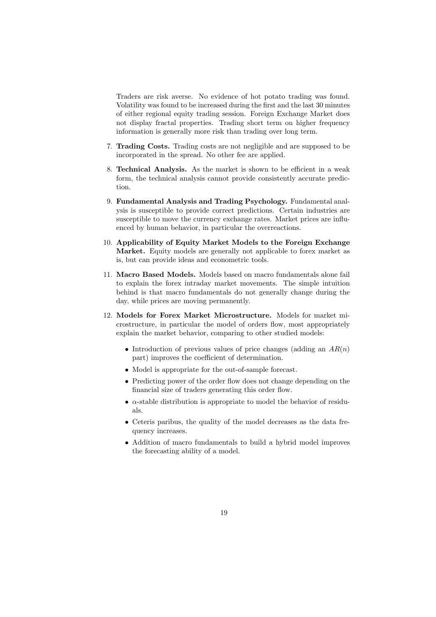Traders are risk averse. No evidence of hot potato trading was found. Volatility was found to be increased during the first and the last 30 minutes of either regional equity trading session. Foreign Exchange Market does not display fractal properties. Trading short term on higher frequency information is generally more risk than trading over long term.

- 7. Trading Costs. Trading costs are not negligible and are supposed to be incorporated in the spread. No other fee are applied.
- 8. Technical Analysis. As the market is shown to be efficient in a weak form, the technical analysis cannot provide consistently accurate prediction.
- 9. Fundamental Analysis and Trading Psychology. Fundamental analysis is susceptible to provide correct predictions. Certain industries are susceptible to move the currency exchange rates. Market prices are influenced by human behavior, in particular the overreactions.
- 10. Applicability of Equity Market Models to the Foreign Exchange Market. Equity models are generally not applicable to forex market as is, but can provide ideas and econometric tools.
- 11. Macro Based Models. Models based on macro fundamentals alone fail to explain the forex intraday market movements. The simple intuition behind is that macro fundamentals do not generally change during the day, while prices are moving permanently.
- 12. Models for Forex Market Microstructure. Models for market microstructure, in particular the model of orders flow, most appropriately explain the market behavior, comparing to other studied models:
	- Introduction of previous values of price changes (adding an  $AR(n)$ ) part) improves the coefficient of determination.
	- Model is appropriate for the out-of-sample forecast.
	- Predicting power of the order flow does not change depending on the financial size of traders generating this order flow.
	- $\bullet$   $\alpha$ -stable distribution is appropriate to model the behavior of residuals.
	- Ceteris paribus, the quality of the model decreases as the data frequency increases.
	- Addition of macro fundamentals to build a hybrid model improves the forecasting ability of a model.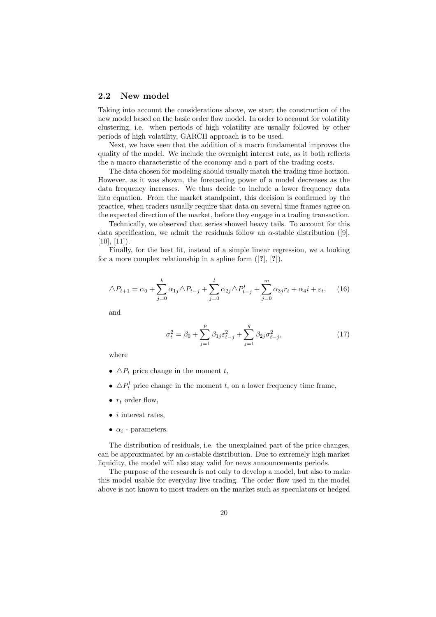#### 2.2 New model

Taking into account the considerations above, we start the construction of the new model based on the basic order flow model. In order to account for volatility clustering, i.e. when periods of high volatility are usually followed by other periods of high volatility, GARCH approach is to be used.

Next, we have seen that the addition of a macro fundamental improves the quality of the model. We include the overnight interest rate, as it both reflects the a macro characteristic of the economy and a part of the trading costs.

The data chosen for modeling should usually match the trading time horizon. However, as it was shown, the forecasting power of a model decreases as the data frequency increases. We thus decide to include a lower frequency data into equation. From the market standpoint, this decision is confirmed by the practice, when traders usually require that data on several time frames agree on the expected direction of the market, before they engage in a trading transaction.

Technically, we observed that series showed heavy tails. To account for this data specification, we admit the residuals follow an  $\alpha$ -stable distribution ([9],  $[10], [11]$ .

Finally, for the best fit, instead of a simple linear regression, we a looking for a more complex relationship in a spline form  $([?, [?]).$ 

$$
\triangle P_{t+1} = \alpha_0 + \sum_{j=0}^{k} \alpha_{1j} \triangle P_{t-j} + \sum_{j=0}^{l} \alpha_{2j} \triangle P_{t-j}^l + \sum_{j=0}^{m} \alpha_{3j} r_t + \alpha_4 i + \varepsilon_t, \quad (16)
$$

and

$$
\sigma_t^2 = \beta_0 + \sum_{j=1}^p \beta_{1j} \varepsilon_{t-j}^2 + \sum_{j=1}^q \beta_{2j} \sigma_{t-j}^2, \qquad (17)
$$

where

- $\Delta P_t$  price change in the moment t,
- $\Delta P_t^l$  price change in the moment t, on a lower frequency time frame,
- $r_t$  order flow,
- $\bullet$  *i* interest rates.
- $\alpha_i$  parameters.

The distribution of residuals, i.e. the unexplained part of the price changes, can be approximated by an  $\alpha$ -stable distribution. Due to extremely high market liquidity, the model will also stay valid for news announcements periods.

The purpose of the research is not only to develop a model, but also to make this model usable for everyday live trading. The order flow used in the model above is not known to most traders on the market such as speculators or hedged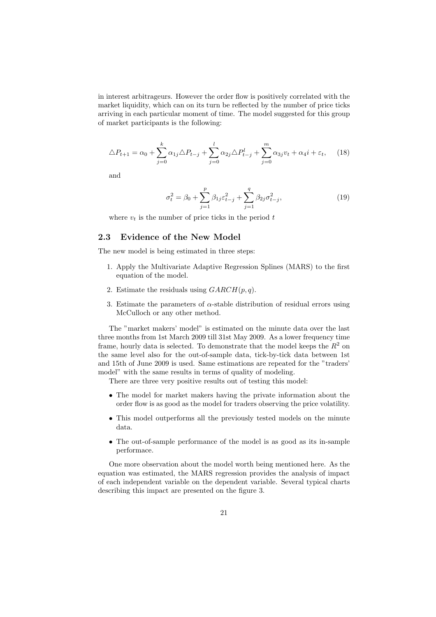in interest arbitrageurs. However the order flow is positively correlated with the market liquidity, which can on its turn be reflected by the number of price ticks arriving in each particular moment of time. The model suggested for this group of market participants is the following:

$$
\triangle P_{t+1} = \alpha_0 + \sum_{j=0}^{k} \alpha_{1j} \triangle P_{t-j} + \sum_{j=0}^{l} \alpha_{2j} \triangle P_{t-j}^l + \sum_{j=0}^{m} \alpha_{3j} v_t + \alpha_4 i + \varepsilon_t, \quad (18)
$$

and

$$
\sigma_t^2 = \beta_0 + \sum_{j=1}^p \beta_{1j} \varepsilon_{t-j}^2 + \sum_{j=1}^q \beta_{2j} \sigma_{t-j}^2, \qquad (19)
$$

where  $v_t$  is the number of price ticks in the period  $t$ 

## 2.3 Evidence of the New Model

The new model is being estimated in three steps:

- 1. Apply the Multivariate Adaptive Regression Splines (MARS) to the first equation of the model.
- 2. Estimate the residuals using  $GARCH(p, q)$ .
- 3. Estimate the parameters of  $\alpha$ -stable distribution of residual errors using McCulloch or any other method.

The "market makers' model" is estimated on the minute data over the last three months from 1st March 2009 till 31st May 2009. As a lower frequency time frame, hourly data is selected. To demonstrate that the model keeps the  $R^2$  on the same level also for the out-of-sample data, tick-by-tick data between 1st and 15th of June 2009 is used. Same estimations are repeated for the "traders' model" with the same results in terms of quality of modeling.

There are three very positive results out of testing this model:

- The model for market makers having the private information about the order flow is as good as the model for traders observing the price volatility.
- This model outperforms all the previously tested models on the minute data.
- The out-of-sample performance of the model is as good as its in-sample performace.

One more observation about the model worth being mentioned here. As the equation was estimated, the MARS regression provides the analysis of impact of each independent variable on the dependent variable. Several typical charts describing this impact are presented on the figure 3.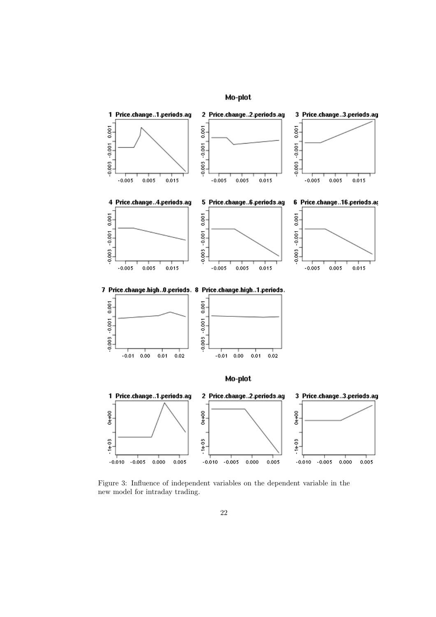

Figure 3: Influence of independent variables on the dependent variable in the new model for intraday trading.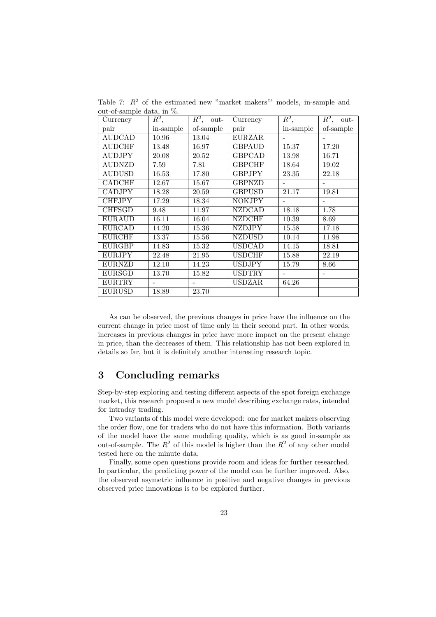|                           |  |  |  |  | Table 7: $R^2$ of the estimated new "market makers" models, in-sample and |  |
|---------------------------|--|--|--|--|---------------------------------------------------------------------------|--|
| out-of-sample data, in %. |  |  |  |  |                                                                           |  |

| Currency      | $\overline{R^2}$ , | $\overline{R^2}$ , out- | Currency      | $R^2$ ,                  | $R^2$ , out- |
|---------------|--------------------|-------------------------|---------------|--------------------------|--------------|
| pair          | in-sample          | of-sample               | pair          | in-sample                | of-sample    |
| <b>AUDCAD</b> | 10.96              | 13.04                   | <b>EURZAR</b> | $\overline{\phantom{a}}$ |              |
| <b>AUDCHF</b> | 13.48              | 16.97                   | <b>GBPAUD</b> | 15.37                    | 17.20        |
| AUDJPY        | 20.08              | 20.52                   | <b>GBPCAD</b> | 13.98                    | 16.71        |
| <b>AUDNZD</b> | 7.59               | 7.81                    | <b>GBPCHF</b> | 18.64                    | 19.02        |
| AUDUSD        | 16.53              | 17.80                   | <b>GBPJPY</b> | 23.35                    | 22.18        |
| <b>CADCHF</b> | 12.67              | 15.67                   | <b>GBPNZD</b> |                          |              |
| CADJPY        | 18.28              | 20.59                   | <b>GBPUSD</b> | 21.17                    | 19.81        |
| <b>CHFJPY</b> | 17.29              | 18.34                   | <b>NOKJPY</b> |                          |              |
| <b>CHFSGD</b> | 9.48               | 11.97                   | <b>NZDCAD</b> | 18.18                    | 1.78         |
| EURAUD        | 16.11              | 16.04                   | <b>NZDCHF</b> | 10.39                    | 8.69         |
| <b>EURCAD</b> | 14.20              | 15.36                   | <b>NZDJPY</b> | 15.58                    | 17.18        |
| <b>EURCHF</b> | 13.37              | 15.56                   | <b>NZDUSD</b> | 10.14                    | 11.98        |
| <b>EURGBP</b> | 14.83              | 15.32                   | <b>USDCAD</b> | 14.15                    | 18.81        |
| <b>EURJPY</b> | 22.48              | 21.95                   | <b>USDCHF</b> | 15.88                    | 22.19        |
| <b>EURNZD</b> | 12.10              | 14.23                   | <b>USDJPY</b> | 15.79                    | 8.66         |
| <b>EURSGD</b> | 13.70              | 15.82                   | <b>USDTRY</b> |                          |              |
| <b>EURTRY</b> |                    |                         | USDZAR        | 64.26                    |              |
| <b>EURUSD</b> | 18.89              | 23.70                   |               |                          |              |

As can be observed, the previous changes in price have the influence on the current change in price most of time only in their second part. In other words, increases in previous changes in price have more impact on the present change in price, than the decreases of them. This relationship has not been explored in details so far, but it is definitely another interesting research topic.

# 3 Concluding remarks

Step-by-step exploring and testing different aspects of the spot foreign exchange market, this research proposed a new model describing exchange rates, intended for intraday trading.

Two variants of this model were developed: one for market makers observing the order flow, one for traders who do not have this information. Both variants of the model have the same modeling quality, which is as good in-sample as out-of-sample. The  $R^2$  of this model is higher than the  $R^2$  of any other model tested here on the minute data.

Finally, some open questions provide room and ideas for further researched. In particular, the predicting power of the model can be further improved. Also, the observed asymetric influence in positive and negative changes in previous observed price innovations is to be explored further.